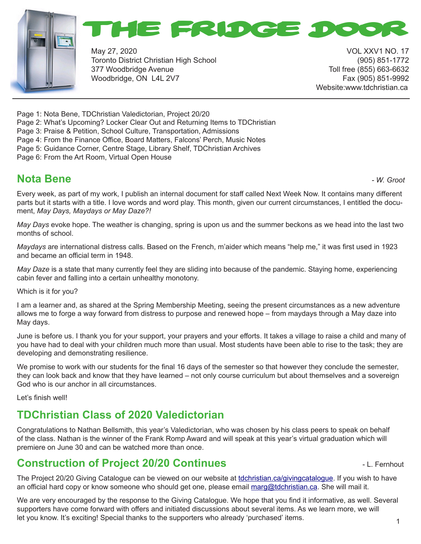



May 27, 2020 VOL XXV1 NO. 17 Toronto District Christian High School (905) 851-1772 377 Woodbridge Avenue Toll free (855) 663-6632 Woodbridge, ON L4L 2V7 Fax (905) 851-9992

Website:www.tdchristian.ca

Page 1: Nota Bene, TDChristian Valedictorian, Project 20/20

Page 2: What's Upcoming? Locker Clear Out and Returning Items to TDChristian

Page 3: Praise & Petition, School Culture, Transportation, Admissions

Page 4: From the Finance Office, Board Matters, Falcons' Perch, Music Notes

Page 5: Guidance Corner, Centre Stage, Library Shelf, TDChristian Archives

Page 6: From the Art Room, Virtual Open House

## **Nota Bene** *- W. Groot*

Every week, as part of my work, I publish an internal document for staff called Next Week Now. It contains many different parts but it starts with a title. I love words and word play. This month, given our current circumstances, I entitled the document, *May Days, Maydays or May Daze?!*

*May Days* evoke hope. The weather is changing, spring is upon us and the summer beckons as we head into the last two months of school.

*Maydays* are international distress calls. Based on the French, m'aider which means "help me," it was first used in 1923 and became an official term in 1948.

*May Daze* is a state that many currently feel they are sliding into because of the pandemic. Staying home, experiencing cabin fever and falling into a certain unhealthy monotony.

Which is it for you?

I am a learner and, as shared at the Spring Membership Meeting, seeing the present circumstances as a new adventure allows me to forge a way forward from distress to purpose and renewed hope – from maydays through a May daze into May days.

June is before us. I thank you for your support, your prayers and your efforts. It takes a village to raise a child and many of you have had to deal with your children much more than usual. Most students have been able to rise to the task; they are developing and demonstrating resilience.

We promise to work with our students for the final 16 days of the semester so that however they conclude the semester, they can look back and know that they have learned – not only course curriculum but about themselves and a sovereign God who is our anchor in all circumstances.

Let's finish well!

### **TDChristian Class of 2020 Valedictorian**

Congratulations to Nathan Bellsmith, this year's Valedictorian, who was chosen by his class peers to speak on behalf of the class. Nathan is the winner of the Frank Romp Award and will speak at this year's virtual graduation which will premiere on June 30 and can be watched more than once.

### **Construction of Project 20/20 Continues Construction of Project 20/20 Continues**

The Project 20/20 Giving Catalogue can be viewed on our website at tdchristian.ca/givingcatalogue. If you wish to have an official hard copy or know someone who should get one, please email marg@tdchristian.ca. She will mail it.

We are very encouraged by the response to the Giving Catalogue. We hope that you find it informative, as well. Several supporters have come forward with offers and initiated discussions about several items. As we learn more, we will let you know. It's exciting! Special thanks to the supporters who already 'purchased' items.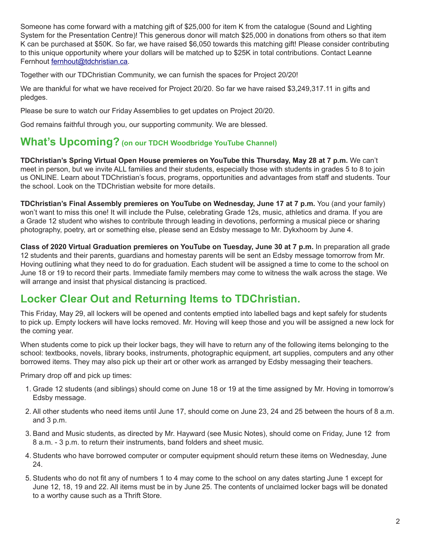Someone has come forward with a matching gift of \$25,000 for item K from the catalogue (Sound and Lighting System for the Presentation Centre)! This generous donor will match \$25,000 in donations from others so that item K can be purchased at \$50K. So far, we have raised \$6,050 towards this matching gift! Please consider contributing to this unique opportunity where your dollars will be matched up to \$25K in total contributions. Contact Leanne Fernhout fernhout@tdchristian.ca.

Together with our TDChristian Community, we can furnish the spaces for Project 20/20!

We are thankful for what we have received for Project 20/20. So far we have raised \$3,249,317.11 in gifts and pledges.

Please be sure to watch our Friday Assemblies to get updates on Project 20/20.

God remains faithful through you, our supporting community. We are blessed.

#### **What's Upcoming? (on our TDCH Woodbridge YouTube Channel)**

**TDChristian's Spring Virtual Open House premieres on YouTube this Thursday, May 28 at 7 p.m.** We can't meet in person, but we invite ALL families and their students, especially those with students in grades 5 to 8 to join us ONLINE. Learn about TDChristian's focus, programs, opportunities and advantages from staff and students. Tour the school. Look on the TDChristian website for more details.

**TDChristian's Final Assembly premieres on YouTube on Wednesday, June 17 at 7 p.m.** You (and your family) won't want to miss this one! It will include the Pulse, celebrating Grade 12s, music, athletics and drama. If you are a Grade 12 student who wishes to contribute through leading in devotions, performing a musical piece or sharing photography, poetry, art or something else, please send an Edsby message to Mr. Dykxhoorn by June 4.

**Class of 2020 Virtual Graduation premieres on YouTube on Tuesday, June 30 at 7 p.m.** In preparation all grade 12 students and their parents, guardians and homestay parents will be sent an Edsby message tomorrow from Mr. Hoving outlining what they need to do for graduation. Each student will be assigned a time to come to the school on June 18 or 19 to record their parts. Immediate family members may come to witness the walk across the stage. We will arrange and insist that physical distancing is practiced.

### **Locker Clear Out and Returning Items to TDChristian.**

This Friday, May 29, all lockers will be opened and contents emptied into labelled bags and kept safely for students to pick up. Empty lockers will have locks removed. Mr. Hoving will keep those and you will be assigned a new lock for the coming year.

When students come to pick up their locker bags, they will have to return any of the following items belonging to the school: textbooks, novels, library books, instruments, photographic equipment, art supplies, computers and any other borrowed items. They may also pick up their art or other work as arranged by Edsby messaging their teachers.

Primary drop off and pick up times:

- 1. Grade 12 students (and siblings) should come on June 18 or 19 at the time assigned by Mr. Hoving in tomorrow's Edsby message.
- 2. All other students who need items until June 17, should come on June 23, 24 and 25 between the hours of 8 a.m. and 3 p.m.
- 3. Band and Music students, as directed by Mr. Hayward (see Music Notes), should come on Friday, June 12 from 8 a.m. - 3 p.m. to return their instruments, band folders and sheet music.
- 4. Students who have borrowed computer or computer equipment should return these items on Wednesday, June 24.
- 5. Students who do not fit any of numbers 1 to 4 may come to the school on any dates starting June 1 except for June 12, 18, 19 and 22. All items must be in by June 25. The contents of unclaimed locker bags will be donated to a worthy cause such as a Thrift Store.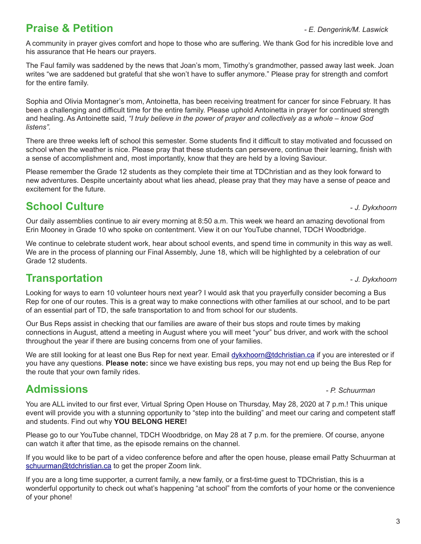# **Praise & Petition** *- E. Dengerink/M. Laswick*

A community in prayer gives comfort and hope to those who are suffering. We thank God for his incredible love and his assurance that He hears our prayers.

The Faul family was saddened by the news that Joan's mom, Timothy's grandmother, passed away last week. Joan writes "we are saddened but grateful that she won't have to suffer anymore." Please pray for strength and comfort for the entire family.

Sophia and Olivia Montagner's mom, Antoinetta, has been receiving treatment for cancer for since February. It has been a challenging and difficult time for the entire family. Please uphold Antoinetta in prayer for continued strength and healing. As Antoinette said, *"I truly believe in the power of prayer and collectively as a whole – know God listens".*

There are three weeks left of school this semester. Some students find it difficult to stay motivated and focussed on school when the weather is nice. Please pray that these students can persevere, continue their learning, finish with a sense of accomplishment and, most importantly, know that they are held by a loving Saviour.

Please remember the Grade 12 students as they complete their time at TDChristian and as they look forward to new adventures. Despite uncertainty about what lies ahead, please pray that they may have a sense of peace and excitement for the future.

# **School Culture -** *J. Dykxhoorn***</del>**

Our daily assemblies continue to air every morning at 8:50 a.m. This week we heard an amazing devotional from Erin Mooney in Grade 10 who spoke on contentment. View it on our YouTube channel, TDCH Woodbridge.

We continue to celebrate student work, hear about school events, and spend time in community in this way as well. We are in the process of planning our Final Assembly, June 18, which will be highlighted by a celebration of our Grade 12 students.

# **Transportation 1.** The *J. Dykxhoorn*

Looking for ways to earn 10 volunteer hours next year? I would ask that you prayerfully consider becoming a Bus Rep for one of our routes. This is a great way to make connections with other families at our school, and to be part of an essential part of TD, the safe transportation to and from school for our students.

Our Bus Reps assist in checking that our families are aware of their bus stops and route times by making connections in August, attend a meeting in August where you will meet "your" bus driver, and work with the school throughout the year if there are busing concerns from one of your families.

We are still looking for at least one Bus Rep for next year. Email dykxhoorn@tdchristian.ca if you are interested or if you have any questions. **Please note:** since we have existing bus reps, you may not end up being the Bus Rep for the route that your own family rides.

# **Admissions** *- P. Schuurman*

You are ALL invited to our first ever, Virtual Spring Open House on Thursday, May 28, 2020 at 7 p.m.! This unique event will provide you with a stunning opportunity to "step into the building" and meet our caring and competent staff and students. Find out why **YOU BELONG HERE!**

Please go to our YouTube channel, TDCH Woodbridge, on May 28 at 7 p.m. for the premiere. Of course, anyone can watch it after that time, as the episode remains on the channel.

If you would like to be part of a video conference before and after the open house, please email Patty Schuurman at schuurman@tdchristian.ca to get the proper Zoom link.

If you are a long time supporter, a current family, a new family, or a first-time guest to TDChristian, this is a wonderful opportunity to check out what's happening "at school" from the comforts of your home or the convenience of your phone!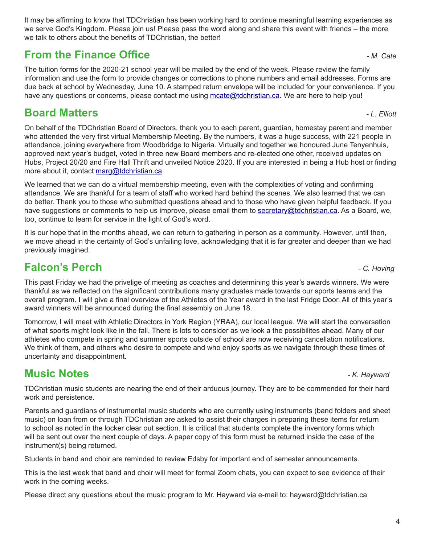It may be affirming to know that TDChristian has been working hard to continue meaningful learning experiences as we serve God's Kingdom. Please join us! Please pass the word along and share this event with friends – the more we talk to others about the benefits of TDChristian, the better!

## **From the Finance Office**  *ALCate* **<b>Finance Office** *ALCate ALCate*

The tuition forms for the 2020-21 school year will be mailed by the end of the week. Please review the family information and use the form to provide changes or corrections to phone numbers and email addresses. Forms are due back at school by Wednesday, June 10. A stamped return envelope will be included for your convenience. If you have any questions or concerns, please contact me using mcate@tdchristian.ca. We are here to help you!

# **Board Matters** *- L. Elliott*

On behalf of the TDChristian Board of Directors, thank you to each parent, guardian, homestay parent and member who attended the very first virtual Membership Meeting. By the numbers, it was a huge success, with 221 people in attendance, joining everywhere from Woodbridge to Nigeria. Virtually and together we honoured June Tenyenhuis, approved next year's budget, voted in three new Board members and re-elected one other, received updates on Hubs, Project 20/20 and Fire Hall Thrift and unveiled Notice 2020. If you are interested in being a Hub host or finding more about it, contact marg@tdchristian.ca.

We learned that we can do a virtual membership meeting, even with the complexities of voting and confirming attendance. We are thankful for a team of staff who worked hard behind the scenes. We also learned that we can do better. Thank you to those who submitted questions ahead and to those who have given helpful feedback. If you have suggestions or comments to help us improve, please email them to secretary@tdchristian.ca. As a Board, we, too, continue to learn for service in the light of God's word.

It is our hope that in the months ahead, we can return to gathering in person as a community. However, until then, we move ahead in the certainty of God's unfailing love, acknowledging that it is far greater and deeper than we had previously imagined.

# **Falcon's Perch** *- C. Hoving*

This past Friday we had the privelige of meeting as coaches and determining this year's awards winners. We were thankful as we reflected on the significant contributions many graduates made towards our sports teams and the overall program. I will give a final overview of the Athletes of the Year award in the last Fridge Door. All of this year's award winners will be announced during the final assembly on June 18.

Tomorrow, I will meet with Athletic Directors in York Region (YRAA), our local league. We will start the conversation of what sports might look like in the fall. There is lots to consider as we look a the possibilites ahead. Many of our athletes who compete in spring and summer sports outside of school are now receiving cancellation notifications. We think of them, and others who desire to compete and who enjoy sports as we navigate through these times of uncertainty and disappointment.

# **Music Notes** *- K. Hayward*

TDChristian music students are nearing the end of their arduous journey. They are to be commended for their hard work and persistence.

Parents and guardians of instrumental music students who are currently using instruments (band folders and sheet music) on loan from or through TDChristian are asked to assist their charges in preparing these items for return to school as noted in the locker clear out section. It is critical that students complete the inventory forms which will be sent out over the next couple of days. A paper copy of this form must be returned inside the case of the instrument(s) being returned.

Students in band and choir are reminded to review Edsby for important end of semester announcements.

This is the last week that band and choir will meet for formal Zoom chats, you can expect to see evidence of their work in the coming weeks.

Please direct any questions about the music program to Mr. Hayward via e-mail to: hayward@tdchristian.ca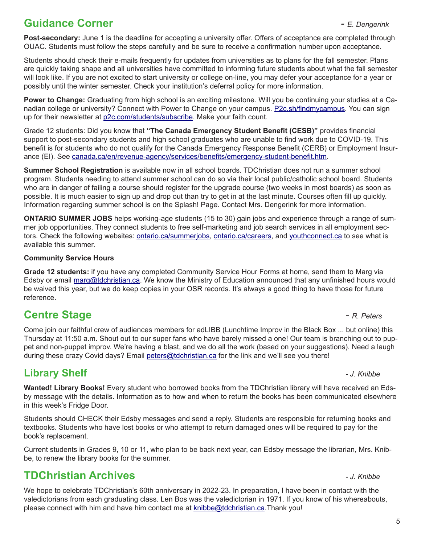# **Guidance Corner** *- E. Dengerink*

**Post-secondary:** June 1 is the deadline for accepting a university offer. Offers of acceptance are completed through OUAC. Students must follow the steps carefully and be sure to receive a confirmation number upon acceptance.

Students should check their e-mails frequently for updates from universities as to plans for the fall semester. Plans are quickly taking shape and all universities have committed to informing future students about what the fall semester will look like. If you are not excited to start university or college on-line, you may defer your acceptance for a year or possibly until the winter semester. Check your institution's deferral policy for more information.

**Power to Change:** Graduating from high school is an exciting milestone. Will you be continuing your studies at a Canadian college or university? Connect with Power to Change on your campus. P2c.sh/findmycampus. You can sign up for their newsletter at p2c.com/students/subscribe. Make your faith count.

Grade 12 students: Did you know that **"The Canada Emergency Student Benefit (CESB)"** provides financial support to post-secondary students and high school graduates who are unable to find work due to COVID-19. This benefit is for students who do not qualify for the Canada Emergency Response Benefit (CERB) or Employment Insurance (EI). See canada.ca/en/revenue-agency/services/benefits/emergency-student-benefit.htm.

**Summer School Registration** is available now in all school boards. TDChristian does not run a summer school program. Students needing to attend summer school can do so via their local public/catholic school board. Students who are in danger of failing a course should register for the upgrade course (two weeks in most boards) as soon as possible. It is much easier to sign up and drop out than try to get in at the last minute. Courses often fill up quickly. Information regarding summer school is on the Splash! Page. Contact Mrs. Dengerink for more information.

**ONTARIO SUMMER JOBS** helps working-age students (15 to 30) gain jobs and experience through a range of summer job opportunities. They connect students to free self-marketing and job search services in all employment sectors. Check the following websites: ontario.ca/summerjobs, ontario.ca/careers, and youthconnect.ca to see what is available this summer.

#### **Community Service Hours**

**Grade 12 students:** if you have any completed Community Service Hour Forms at home, send them to Marg via Edsby or email marg@tdchristian.ca. We know the Ministry of Education announced that any unfinished hours would be waived this year, but we do keep copies in your OSR records. It's always a good thing to have those for future reference.

# **Centre Stage** *- R. Peters*

Come join our faithful crew of audiences members for adLIBB (Lunchtime Improv in the Black Box ... but online) this Thursday at 11:50 a.m. Shout out to our super fans who have barely missed a one! Our team is branching out to puppet and non-puppet improv. We're having a blast, and we do all the work (based on your suggestions). Need a laugh during these crazy Covid days? Email peters@tdchristian.ca for the link and we'll see you there!

#### **Library Shelf** *- J. Knibbe*

**Wanted! Library Books!** Every student who borrowed books from the TDChristian library will have received an Edsby message with the details. Information as to how and when to return the books has been communicated elsewhere in this week's Fridge Door.

Students should CHECK their Edsby messages and send a reply. Students are responsible for returning books and textbooks. Students who have lost books or who attempt to return damaged ones will be required to pay for the book's replacement.

Current students in Grades 9, 10 or 11, who plan to be back next year, can Edsby message the librarian, Mrs. Knibbe, to renew the library books for the summer.

### **TDChristian Archives** *- J. Knibbe*

We hope to celebrate TDChristian's 60th anniversary in 2022-23. In preparation, I have been in contact with the valedictorians from each graduating class. Len Bos was the valedictorian in 1971. If you know of his whereabouts, please connect with him and have him contact me at **knibbe@tdchristian.ca**.Thank you!